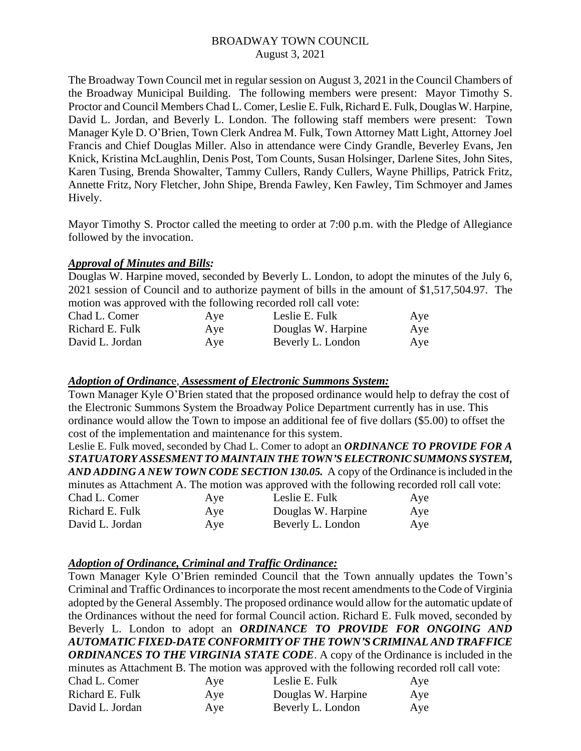The Broadway Town Council met in regular session on August 3, 2021 in the Council Chambers of the Broadway Municipal Building. The following members were present: Mayor Timothy S. Proctor and Council Members Chad L. Comer, Leslie E. Fulk, Richard E. Fulk, Douglas W. Harpine, David L. Jordan, and Beverly L. London. The following staff members were present: Town Manager Kyle D. O'Brien, Town Clerk Andrea M. Fulk, Town Attorney Matt Light, Attorney Joel Francis and Chief Douglas Miller. Also in attendance were Cindy Grandle, Beverley Evans, Jen Knick, Kristina McLaughlin, Denis Post, Tom Counts, Susan Holsinger, Darlene Sites, John Sites, Karen Tusing, Brenda Showalter, Tammy Cullers, Randy Cullers, Wayne Phillips, Patrick Fritz, Annette Fritz, Nory Fletcher, John Shipe, Brenda Fawley, Ken Fawley, Tim Schmoyer and James Hively.

Mayor Timothy S. Proctor called the meeting to order at 7:00 p.m. with the Pledge of Allegiance followed by the invocation.

### *Approval of Minutes and Bills:*

Douglas W. Harpine moved, seconded by Beverly L. London, to adopt the minutes of the July 6, 2021 session of Council and to authorize payment of bills in the amount of \$1,517,504.97. The motion was approved with the following recorded roll call vote:

| Chad L. Comer   | Aye | Leslie E. Fulk     | Aye |
|-----------------|-----|--------------------|-----|
| Richard E. Fulk | Aye | Douglas W. Harpine | Aye |
| David L. Jordan | Aye | Beverly L. London  | Aye |

#### *Adoption of Ordinanc*e, *Assessment of Electronic Summons System:*

Town Manager Kyle O'Brien stated that the proposed ordinance would help to defray the cost of the Electronic Summons System the Broadway Police Department currently has in use. This ordinance would allow the Town to impose an additional fee of five dollars (\$5.00) to offset the cost of the implementation and maintenance for this system.

Leslie E. Fulk moved, seconded by Chad L. Comer to adopt an *ORDINANCE TO PROVIDE FOR A STATUATORY ASSESMENT TO MAINTAIN THE TOWN'S ELECTRONIC SUMMONS SYSTEM, AND ADDING A NEW TOWN CODE SECTION 130.05.* A copy of the Ordinance is included in the minutes as Attachment A. The motion was approved with the following recorded roll call vote:

| Chad L. Comer   | Aye | Leslie E. Fulk     | Aye |
|-----------------|-----|--------------------|-----|
| Richard E. Fulk | Aye | Douglas W. Harpine | Aye |
| David L. Jordan | Aye | Beverly L. London  | Aye |

### *Adoption of Ordinance, Criminal and Traffic Ordinance:*

Town Manager Kyle O'Brien reminded Council that the Town annually updates the Town's Criminal and Traffic Ordinances to incorporate the most recent amendments to the Code of Virginia adopted by the General Assembly. The proposed ordinance would allow for the automatic update of the Ordinances without the need for formal Council action. Richard E. Fulk moved, seconded by Beverly L. London to adopt an *ORDINANCE TO PROVIDE FOR ONGOING AND AUTOMATIC FIXED-DATE CONFORMITY OF THE TOWN'S CRIMINAL AND TRAFFICE ORDINANCES TO THE VIRGINIA STATE CODE*. A copy of the Ordinance is included in the minutes as Attachment B. The motion was approved with the following recorded roll call vote:

| Chad L. Comer   | Aye | Leslie E. Fulk     | Aye |
|-----------------|-----|--------------------|-----|
| Richard E. Fulk | Aye | Douglas W. Harpine | Aye |
| David L. Jordan | Aye | Beverly L. London  | Aye |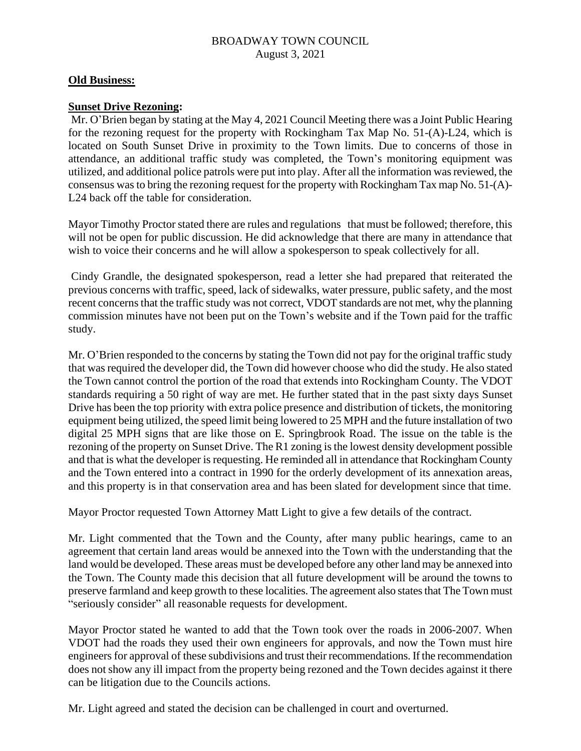### **Old Business:**

### **Sunset Drive Rezoning:**

Mr. O'Brien began by stating at the May 4, 2021 Council Meeting there was a Joint Public Hearing for the rezoning request for the property with Rockingham Tax Map No. 51-(A)-L24, which is located on South Sunset Drive in proximity to the Town limits. Due to concerns of those in attendance, an additional traffic study was completed, the Town's monitoring equipment was utilized, and additional police patrols were put into play. After all the information was reviewed, the consensus wasto bring the rezoning request for the property with Rockingham Tax map No. 51-(A)- L24 back off the table for consideration.

Mayor Timothy Proctor stated there are rules and regulations that must be followed; therefore, this will not be open for public discussion. He did acknowledge that there are many in attendance that wish to voice their concerns and he will allow a spokesperson to speak collectively for all.

Cindy Grandle, the designated spokesperson, read a letter she had prepared that reiterated the previous concerns with traffic, speed, lack of sidewalks, water pressure, public safety, and the most recent concerns that the traffic study was not correct, VDOT standards are not met, why the planning commission minutes have not been put on the Town's website and if the Town paid for the traffic study.

Mr. O'Brien responded to the concerns by stating the Town did not pay for the original traffic study that was required the developer did, the Town did however choose who did the study. He also stated the Town cannot control the portion of the road that extends into Rockingham County. The VDOT standards requiring a 50 right of way are met. He further stated that in the past sixty days Sunset Drive has been the top priority with extra police presence and distribution of tickets, the monitoring equipment being utilized, the speed limit being lowered to 25 MPH and the future installation of two digital 25 MPH signs that are like those on E. Springbrook Road. The issue on the table is the rezoning of the property on Sunset Drive. The R1 zoning is the lowest density development possible and that is what the developer is requesting. He reminded all in attendance that Rockingham County and the Town entered into a contract in 1990 for the orderly development of its annexation areas, and this property is in that conservation area and has been slated for development since that time.

Mayor Proctor requested Town Attorney Matt Light to give a few details of the contract.

Mr. Light commented that the Town and the County, after many public hearings, came to an agreement that certain land areas would be annexed into the Town with the understanding that the land would be developed. These areas must be developed before any other land may be annexed into the Town. The County made this decision that all future development will be around the towns to preserve farmland and keep growth to these localities. The agreement also states that The Town must "seriously consider" all reasonable requests for development.

Mayor Proctor stated he wanted to add that the Town took over the roads in 2006-2007. When VDOT had the roads they used their own engineers for approvals, and now the Town must hire engineers for approval of these subdivisions and trust their recommendations. If the recommendation does not show any ill impact from the property being rezoned and the Town decides against it there can be litigation due to the Councils actions.

Mr. Light agreed and stated the decision can be challenged in court and overturned.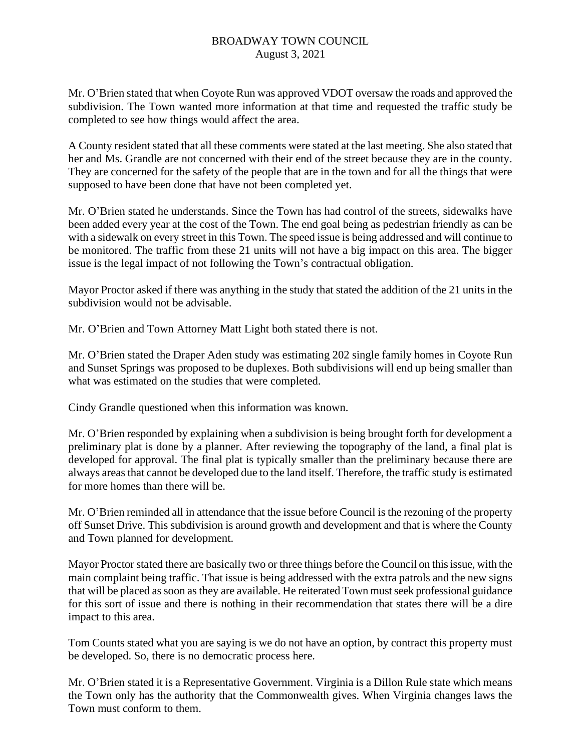Mr. O'Brien stated that when Coyote Run was approved VDOT oversaw the roads and approved the subdivision. The Town wanted more information at that time and requested the traffic study be completed to see how things would affect the area.

A County resident stated that all these comments were stated at the last meeting. She also stated that her and Ms. Grandle are not concerned with their end of the street because they are in the county. They are concerned for the safety of the people that are in the town and for all the things that were supposed to have been done that have not been completed yet.

Mr. O'Brien stated he understands. Since the Town has had control of the streets, sidewalks have been added every year at the cost of the Town. The end goal being as pedestrian friendly as can be with a sidewalk on every street in this Town. The speed issue is being addressed and will continue to be monitored. The traffic from these 21 units will not have a big impact on this area. The bigger issue is the legal impact of not following the Town's contractual obligation.

Mayor Proctor asked if there was anything in the study that stated the addition of the 21 units in the subdivision would not be advisable.

Mr. O'Brien and Town Attorney Matt Light both stated there is not.

Mr. O'Brien stated the Draper Aden study was estimating 202 single family homes in Coyote Run and Sunset Springs was proposed to be duplexes. Both subdivisions will end up being smaller than what was estimated on the studies that were completed.

Cindy Grandle questioned when this information was known.

Mr. O'Brien responded by explaining when a subdivision is being brought forth for development a preliminary plat is done by a planner. After reviewing the topography of the land, a final plat is developed for approval. The final plat is typically smaller than the preliminary because there are always areas that cannot be developed due to the land itself. Therefore, the traffic study is estimated for more homes than there will be.

Mr. O'Brien reminded all in attendance that the issue before Council is the rezoning of the property off Sunset Drive. This subdivision is around growth and development and that is where the County and Town planned for development.

Mayor Proctor stated there are basically two or three things before the Council on this issue, with the main complaint being traffic. That issue is being addressed with the extra patrols and the new signs that will be placed as soon as they are available. He reiterated Town must seek professional guidance for this sort of issue and there is nothing in their recommendation that states there will be a dire impact to this area.

Tom Counts stated what you are saying is we do not have an option, by contract this property must be developed. So, there is no democratic process here.

Mr. O'Brien stated it is a Representative Government. Virginia is a Dillon Rule state which means the Town only has the authority that the Commonwealth gives. When Virginia changes laws the Town must conform to them.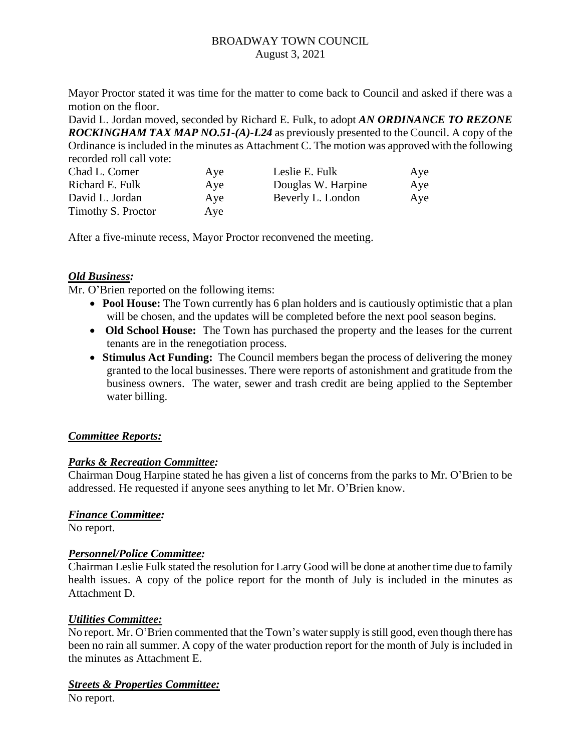Mayor Proctor stated it was time for the matter to come back to Council and asked if there was a motion on the floor.

David L. Jordan moved, seconded by Richard E. Fulk, to adopt *AN ORDINANCE TO REZONE ROCKINGHAM TAX MAP NO.51-(A)-L24* as previously presented to the Council. A copy of the Ordinance is included in the minutes as Attachment C. The motion was approved with the following recorded roll call vote:

| Chad L. Comer      | Aye | Leslie E. Fulk     | Aye |
|--------------------|-----|--------------------|-----|
| Richard E. Fulk    | Aye | Douglas W. Harpine | Aye |
| David L. Jordan    | Aye | Beverly L. London  | Aye |
| Timothy S. Proctor | Aye |                    |     |

After a five-minute recess, Mayor Proctor reconvened the meeting.

### *Old Business:*

Mr. O'Brien reported on the following items:

- **Pool House:** The Town currently has 6 plan holders and is cautiously optimistic that a plan will be chosen, and the updates will be completed before the next pool season begins.
- **Old School House:** The Town has purchased the property and the leases for the current tenants are in the renegotiation process.
- **Stimulus Act Funding:** The Council members began the process of delivering the money granted to the local businesses. There were reports of astonishment and gratitude from the business owners. The water, sewer and trash credit are being applied to the September water billing.

## *Committee Reports:*

### *Parks & Recreation Committee:*

Chairman Doug Harpine stated he has given a list of concerns from the parks to Mr. O'Brien to be addressed. He requested if anyone sees anything to let Mr. O'Brien know.

### *Finance Committee:*

No report.

## *Personnel/Police Committee:*

Chairman Leslie Fulk stated the resolution for Larry Good will be done at another time due to family health issues. A copy of the police report for the month of July is included in the minutes as Attachment D.

### *Utilities Committee:*

No report. Mr. O'Brien commented that the Town's water supply is still good, even though there has been no rain all summer. A copy of the water production report for the month of July is included in the minutes as Attachment E.

## *Streets & Properties Committee:*

No report.